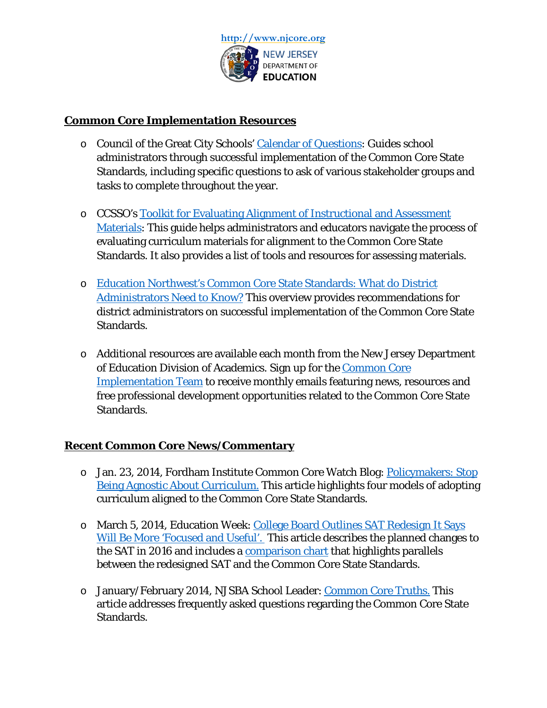

## **Common Core Implementation Resources**

- o Council of the Great City Schools' [Calendar of Questions:](http://www.commoncoreworks.org/domain/163) Guides school administrators through successful implementation of the Common Core State Standards, including specific questions to ask of various stakeholder groups and tasks to complete throughout the year.
- o CCSSO's [Toolkit for Evaluating Alignment of Instructional and Assessment](http://www.ccsso.org/Resources/Digital_Resources/Toolkit_for_Evaluating_Alignment_of_Instructional_and_Assessment_Materials_.html)  [Materials:](http://www.ccsso.org/Resources/Digital_Resources/Toolkit_for_Evaluating_Alignment_of_Instructional_and_Assessment_Materials_.html) This guide helps administrators and educators navigate the process of evaluating curriculum materials for alignment to the Common Core State Standards. It also provides a list of tools and resources for assessing materials.
- o [Education Northwest's Common Core State Standards: What do District](http://educationnorthwest.org/webfm_send/1166)  [Administrators Need to Know?](http://educationnorthwest.org/webfm_send/1166) This overview provides recommendations for district administrators on successful implementation of the Common Core State Standards.
- o Additional resources are available each month from the New Jersey Department of Education Division of Academics. Sign up for the [Common Core](https://app.mobilestorm.com/cp/manageforms/preview.php?formID=14290)  [Implementation Team](https://app.mobilestorm.com/cp/manageforms/preview.php?formID=14290) to receive monthly emails featuring news, resources and free professional development opportunities related to the Common Core State Standards.

## **Recent Common Core News/Commentary**

- o Jan. 23, 2014, Fordham Institute Common Core Watch Blog: [Policymakers: Stop](http://www.edexcellence.net/commentary/education-gadfly-daily/common-core-watch/policymakers-stop-being-agnostic-about)  [Being Agnostic About Curriculum.](http://www.edexcellence.net/commentary/education-gadfly-daily/common-core-watch/policymakers-stop-being-agnostic-about) This article highlights four models of adopting curriculum aligned to the Common Core State Standards.
- o March 5, 2014, Education Week: [College Board Outlines SAT Redesign It Says](http://blogs.edweek.org/edweek/college_bound/2014/03/the_college_board_has_provided.html)  [Will Be More 'Focused and Useful'.](http://blogs.edweek.org/edweek/college_bound/2014/03/the_college_board_has_provided.html) This article describes the planned changes to the SAT in 2016 and includes a [comparison chart](http://www.edweek.org/media/24satchart.pdf) that highlights parallels between the redesigned SAT and the Common Core State Standards.
- o January/February 2014, NJSBA School Leader: [Common Core Truths.](http://www.njsba.org/news/school-leader/01022014/common-core-truths.php) This article addresses frequently asked questions regarding the Common Core State Standards.